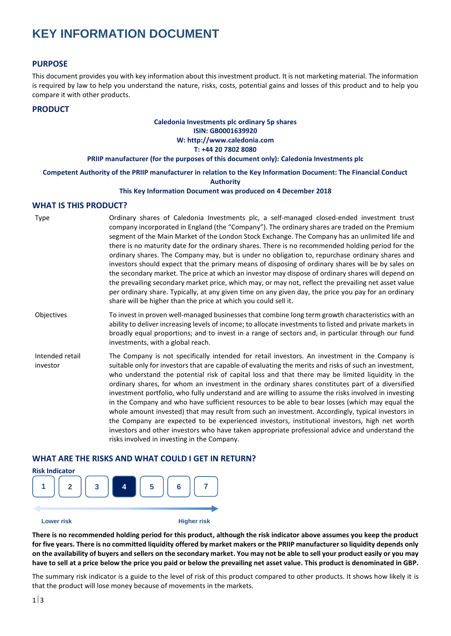# **KEY INFORMATION DOCUMENT**

## **PURPOSE**

This document provides you with key information about this investment product. It is not marketing material. The information is required by law to help you understand the nature, risks, costs, potential gains and losses of this product and to help you compare it with other products.

### **PRODUCT**

## **Caledonia Investments plc ordinary 5p shares ISIN: GB0001639920 W: http://www.caledonia.com T: +44 20 7802 8080**

#### **PRIIP manufacturer (for the purposes of this document only): Caledonia Investments plc**

**Competent Authority of the PRIIP manufacturer in relation to the Key Information Document: The Financial Conduct** 

**Authority**

#### **This Key Information Document was produced on 4 December 2018**

### **WHAT IS THIS PRODUCT?**

| Type                        | Ordinary shares of Caledonia Investments plc, a self-managed closed-ended investment trust<br>company incorporated in England (the "Company"). The ordinary shares are traded on the Premium<br>segment of the Main Market of the London Stock Exchange. The Company has an unlimited life and<br>there is no maturity date for the ordinary shares. There is no recommended holding period for the<br>ordinary shares. The Company may, but is under no obligation to, repurchase ordinary shares and<br>investors should expect that the primary means of disposing of ordinary shares will be by sales on<br>the secondary market. The price at which an investor may dispose of ordinary shares will depend on<br>the prevailing secondary market price, which may, or may not, reflect the prevailing net asset value<br>per ordinary share. Typically, at any given time on any given day, the price you pay for an ordinary<br>share will be higher than the price at which you could sell it. |
|-----------------------------|-------------------------------------------------------------------------------------------------------------------------------------------------------------------------------------------------------------------------------------------------------------------------------------------------------------------------------------------------------------------------------------------------------------------------------------------------------------------------------------------------------------------------------------------------------------------------------------------------------------------------------------------------------------------------------------------------------------------------------------------------------------------------------------------------------------------------------------------------------------------------------------------------------------------------------------------------------------------------------------------------------|
| Objectives                  | To invest in proven well-managed businesses that combine long term growth characteristics with an<br>ability to deliver increasing levels of income; to allocate investments to listed and private markets in<br>broadly equal proportions; and to invest in a range of sectors and, in particular through our fund<br>investments, with a global reach.                                                                                                                                                                                                                                                                                                                                                                                                                                                                                                                                                                                                                                              |
| Intended retail<br>investor | The Company is not specifically intended for retail investors. An investment in the Company is<br>suitable only for investors that are capable of evaluating the merits and risks of such an investment,<br>who understand the potential risk of capital loss and that there may be limited liquidity in the<br>ordinary shares, for whom an investment in the ordinary shares constitutes part of a diversified<br>investment portfolio, who fully understand and are willing to assume the risks involved in investing<br>in the Company and who have sufficient resources to be able to bear losses (which may equal the<br>whole amount invested) that may result from such an investment. Accordingly, typical investors in<br>the Company are expected to be experienced investors, institutional investors, high net worth<br>investors and other investors who have taken appropriate professional advice and understand the<br>risks involved in investing in the Company.                   |

## **WHAT ARE THE RISKS AND WHAT COULD I GET IN RETURN?**



**There is no recommended holding period for this product, although the risk indicator above assumes you keep the product for five years. There is no committed liquidity offered by market makers or the PRIIP manufacturer so liquidity depends only on the availability of buyers and sellers on the secondary market. You may not be able to sell your product easily or you may have to sell at a price below the price you paid or below the prevailing net asset value. This product is denominated in GBP.**

The summary risk indicator is a guide to the level of risk of this product compared to other products. It shows how likely it is that the product will lose money because of movements in the markets.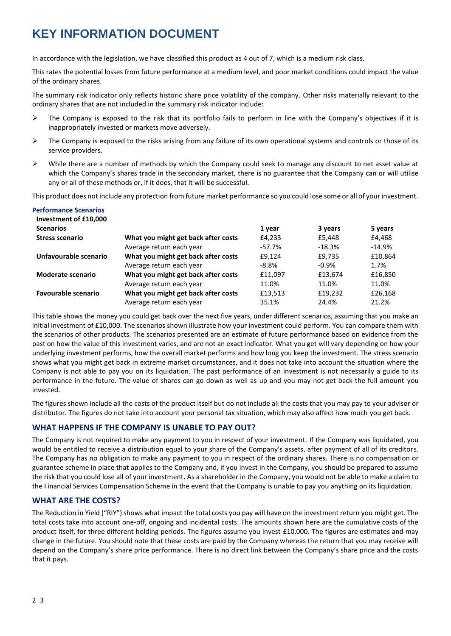# **KEY INFORMATION DOCUMENT**

In accordance with the legislation, we have classified this product as 4 out of 7, which is a medium risk class.

This rates the potential losses from future performance at a medium level, and poor market conditions could impact the value of the ordinary shares.

The summary risk indicator only reflects historic share price volatility of the company. Other risks materially relevant to the ordinary shares that are not included in the summary risk indicator include:

- $\triangleright$  The Company is exposed to the risk that its portfolio fails to perform in line with the Company's objectives if it is inappropriately invested or markets move adversely.
- $\triangleright$  The Company is exposed to the risks arising from any failure of its own operational systems and controls or those of its service providers.
- ➢ While there are a number of methods by which the Company could seek to manage any discount to net asset value at which the Company's shares trade in the secondary market, there is no guarantee that the Company can or will utilise any or all of these methods or, if it does, that it will be successful.

This product does not include any protection from future market performance so you could lose some or all of your investment.

| <b>Performance Scenarios</b><br>Investment of £10,000 |                                     |          |          |           |
|-------------------------------------------------------|-------------------------------------|----------|----------|-----------|
| <b>Scenarios</b>                                      |                                     | 1 year   | 3 years  | 5 years   |
| <b>Stress scenario</b>                                | What you might get back after costs | £4,233   | £5.448   | £4,468    |
|                                                       | Average return each year            | -57.7%   | $-18.3%$ | $-14.9\%$ |
| Unfavourable scenario                                 | What you might get back after costs | £9,124   | £9,735   | £10,864   |
|                                                       | Average return each year            | $-8.8\%$ | $-0.9%$  | 1.7%      |
| <b>Moderate scenario</b>                              | What you might get back after costs | £11,097  | £13,674  | £16,850   |
|                                                       | Average return each year            | 11.0%    | 11.0%    | 11.0%     |
| <b>Favourable scenario</b>                            | What you might get back after costs | £13,513  | £19.232  | £26,168   |
|                                                       | Average return each year            | 35.1%    | 24.4%    | 21.2%     |

This table shows the money you could get back over the next five years, under different scenarios, assuming that you make an initial investment of £10,000. The scenarios shown illustrate how your investment could perform. You can compare them with the scenarios of other products. The scenarios presented are an estimate of future performance based on evidence from the past on how the value of this investment varies, and are not an exact indicator. What you get will vary depending on how your underlying investment performs, how the overall market performs and how long you keep the investment. The stress scenario shows what you might get back in extreme market circumstances, and it does not take into account the situation where the Company is not able to pay you on its liquidation. The past performance of an investment is not necessarily a guide to its performance in the future. The value of shares can go down as well as up and you may not get back the full amount you invested.

The figures shown include all the costs of the product itself but do not include all the costs that you may pay to your advisor or distributor. The figures do not take into account your personal tax situation, which may also affect how much you get back.

# **WHAT HAPPENS IF THE COMPANY IS UNABLE TO PAY OUT?**

The Company is not required to make any payment to you in respect of your investment. If the Company was liquidated, you would be entitled to receive a distribution equal to your share of the Company's assets, after payment of all of its creditors. The Company has no obligation to make any payment to you in respect of the ordinary shares. There is no compensation or guarantee scheme in place that applies to the Company and, if you invest in the Company, you should be prepared to assume the risk that you could lose all of your investment. As a shareholder in the Company, you would not be able to make a claim to the Financial Services Compensation Scheme in the event that the Company is unable to pay you anything on its liquidation.

# **WHAT ARE THE COSTS?**

The Reduction in Yield ("RIY") shows what impact the total costs you pay will have on the investment return you might get. The total costs take into account one-off, ongoing and incidental costs. The amounts shown here are the cumulative costs of the product itself, for three different holding periods. The figures assume you invest £10,000. The figures are estimates and may change in the future. You should note that these costs are paid by the Company whereas the return that you may receive will depend on the Company's share price performance. There is no direct link between the Company's share price and the costs that it pays.